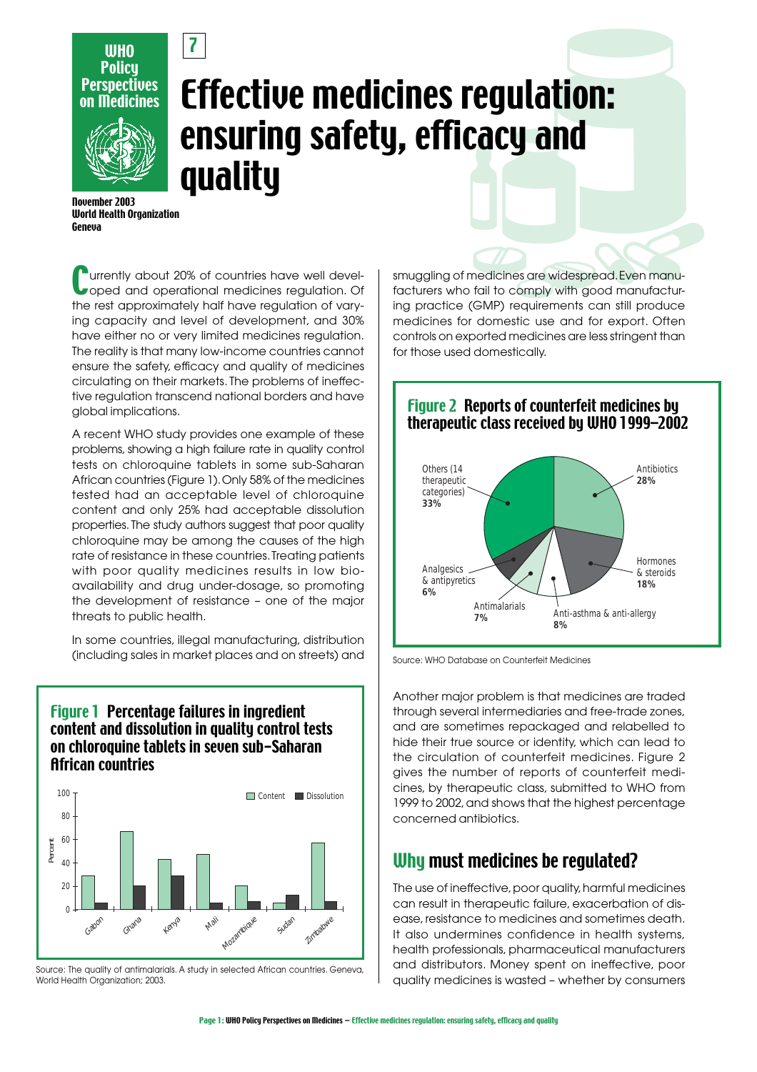

7

# Effective medicines regulation: ensuring safety, efficacy and quality

November 2003 World Health Organization Geneua

Currently about 20% of countries have well devel-oped and operational medicines regulation. Of the rest approximately half have regulation of varying capacity and level of development, and 30% have either no or very limited medicines regulation. The reality is that many low-income countries cannot ensure the safety, efficacy and quality of medicines circulating on their markets. The problems of ineffective regulation transcend national borders and have global implications.

A recent WHO study provides one example of these problems, showing a high failure rate in quality control tests on chloroquine tablets in some sub-Saharan African countries (Figure 1). Only 58% of the medicines tested had an acceptable level of chloroquine content and only 25% had acceptable dissolution properties. The study authors suggest that poor quality chloroquine may be among the causes of the high rate of resistance in these countries. Treating patients with poor quality medicines results in low bioavailability and drug under-dosage, so promoting the development of resistance – one of the major threats to public health.

In some countries, illegal manufacturing, distribution (including sales in market places and on streets) and

## Figure 1 Percentage failures in ingredient content and dissolution in quality control tests on chloroquine tablets in seven sub-Saharan African countries



Source: The quality of antimalarials. A study in selected African countries. Geneva, World Health Organization; 2003.

smuggling of medicines are widespread. Even manufacturers who fail to comply with good manufacturing practice (GMP) requirements can still produce medicines for domestic use and for export. Often controls on exported medicines are less stringent than for those used domestically.



Source: WHO Database on Counterfeit Medicines

Another major problem is that medicines are traded through several intermediaries and free-trade zones, and are sometimes repackaged and relabelled to hide their true source or identity, which can lead to the circulation of counterfeit medicines. Figure 2 gives the number of reports of counterfeit medicines, by therapeutic class, submitted to WHO from 1999 to 2002, and shows that the highest percentage concerned antibiotics.

# Why must medicines be regulated?

The use of ineffective, poor quality, harmful medicines can result in therapeutic failure, exacerbation of disease, resistance to medicines and sometimes death. It also undermines confidence in health systems, health professionals, pharmaceutical manufacturers and distributors. Money spent on ineffective, poor quality medicines is wasted – whether by consumers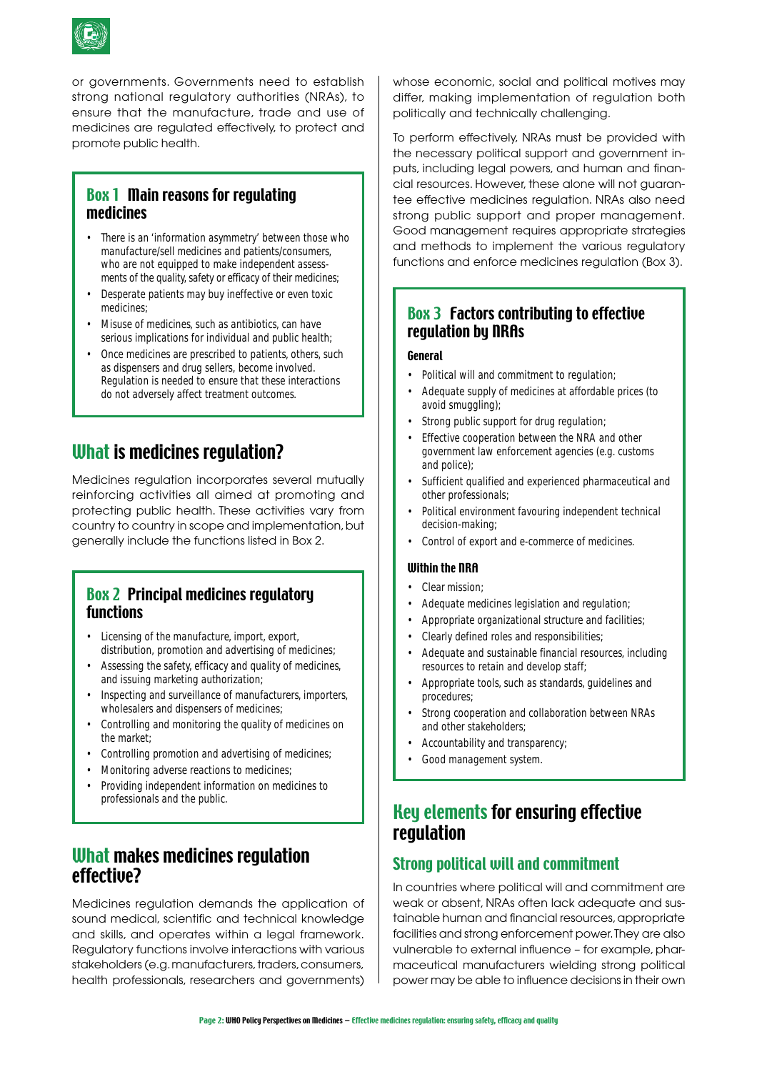

or governments. Governments need to establish strong national regulatory authorities (NRAs), to ensure that the manufacture, trade and use of medicines are regulated effectively, to protect and promote public health.

## Box 1 Main reasons for regulating medicines

- There is an 'information asymmetry' between those who manufacture/sell medicines and patients/consumers, who are not equipped to make independent assessments of the quality, safety or efficacy of their medicines;
- Desperate patients may buy ineffective or even toxic medicines;
- Misuse of medicines, such as antibiotics, can have serious implications for individual and public health;
- Once medicines are prescribed to patients, others, such as dispensers and drug sellers, become involved. Regulation is needed to ensure that these interactions do not adversely affect treatment outcomes.

# What is medicines regulation?

Medicines regulation incorporates several mutually reinforcing activities all aimed at promoting and protecting public health. These activities vary from country to country in scope and implementation, but generally include the functions listed in Box 2.

### Box 2 Principal medicines regulatory functions

- Licensing of the manufacture, import, export, distribution, promotion and advertising of medicines;
- Assessing the safety, efficacy and quality of medicines, and issuing marketing authorization;
- Inspecting and surveillance of manufacturers, importers, wholesalers and dispensers of medicines;
- Controlling and monitoring the quality of medicines on the market;
- Controlling promotion and advertising of medicines;
- Monitoring adverse reactions to medicines;
- Providing independent information on medicines to professionals and the public.

# What makes medicines regulation effective?

Medicines regulation demands the application of sound medical, scientific and technical knowledge and skills, and operates within a legal framework. Regulatory functions involve interactions with various stakeholders (e.g. manufacturers, traders, consumers, health professionals, researchers and governments)

whose economic, social and political motives may differ, making implementation of regulation both politically and technically challenging.

To perform effectively, NRAs must be provided with the necessary political support and government inputs, including legal powers, and human and financial resources. However, these alone will not guarantee effective medicines regulation. NRAs also need strong public support and proper management. Good management requires appropriate strategies and methods to implement the various regulatory functions and enforce medicines regulation (Box 3).

## Box 3 Factors contributing to effective regulation by NRAs

#### General

- Political will and commitment to regulation;
- Adequate supply of medicines at affordable prices (to avoid smuggling);
- Strong public support for drug regulation;
- Effective cooperation between the NRA and other government law enforcement agencies (e.g. customs and police);
- Sufficient qualified and experienced pharmaceutical and other professionals;
- Political environment favouring independent technical decision-making;
- Control of export and e-commerce of medicines.

#### Within the NRA

- Clear mission:
- Adequate medicines legislation and regulation;
- Appropriate organizational structure and facilities;
- Clearly defined roles and responsibilities;
- Adequate and sustainable financial resources, including resources to retain and develop staff;
- Appropriate tools, such as standards, guidelines and procedures;
- Strong cooperation and collaboration between NRAs and other stakeholders;
- Accountability and transparency;
- Good management system.

# Key elements for ensuring effective regulation

## Strong political will and commitment

In countries where political will and commitment are weak or absent, NRAs often lack adequate and sustainable human and financial resources, appropriate facilities and strong enforcement power. They are also vulnerable to external influence – for example, pharmaceutical manufacturers wielding strong political power may be able to influence decisions in their own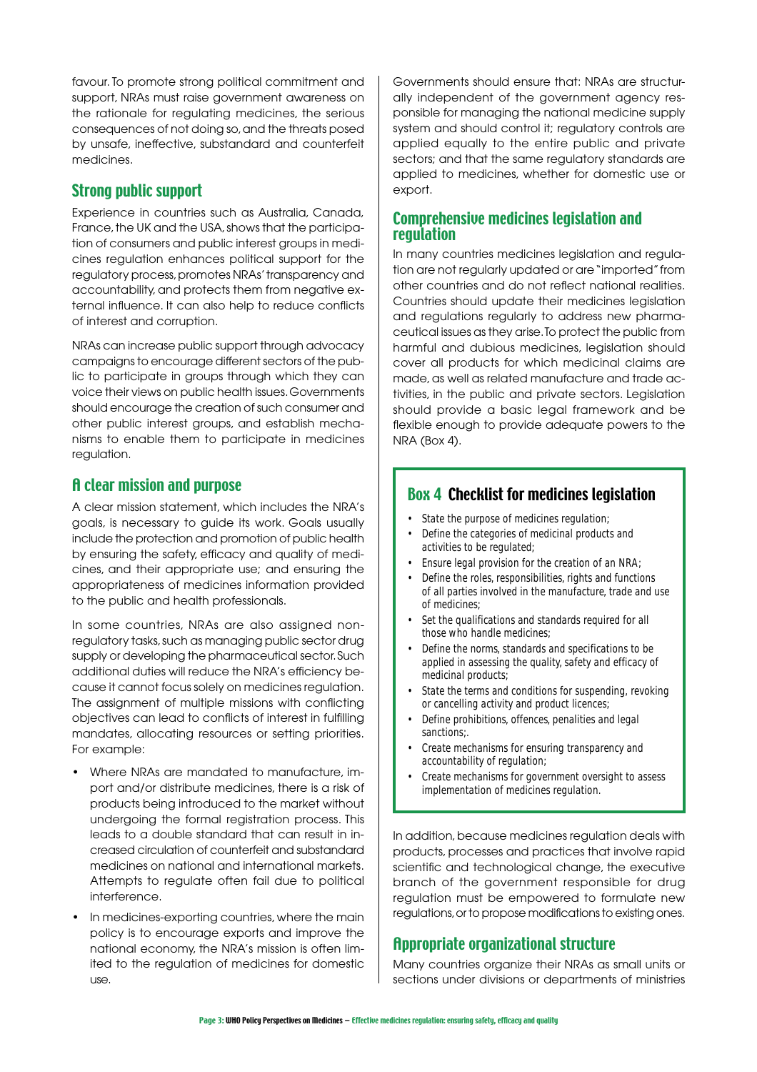favour. To promote strong political commitment and support, NRAs must raise government awareness on the rationale for regulating medicines, the serious consequences of not doing so, and the threats posed by unsafe, ineffective, substandard and counterfeit medicines.

## Strong public support

Experience in countries such as Australia, Canada, France, the UK and the USA, shows that the participation of consumers and public interest groups in medicines regulation enhances political support for the regulatory process, promotes NRAs' transparency and accountability, and protects them from negative external influence. It can also help to reduce conflicts of interest and corruption.

NRAs can increase public support through advocacy campaigns to encourage different sectors of the public to participate in groups through which they can voice their views on public health issues. Governments should encourage the creation of such consumer and other public interest groups, and establish mechanisms to enable them to participate in medicines regulation.

#### A clear mission and purpose

A clear mission statement, which includes the NRA's goals, is necessary to guide its work. Goals usually include the protection and promotion of public health by ensuring the safety, efficacy and quality of medicines, and their appropriate use; and ensuring the appropriateness of medicines information provided to the public and health professionals.

In some countries, NRAs are also assigned nonregulatory tasks, such as managing public sector drug supply or developing the pharmaceutical sector. Such additional duties will reduce the NRA's efficiency because it cannot focus solely on medicines regulation. The assignment of multiple missions with conflicting objectives can lead to conflicts of interest in fulfilling mandates, allocating resources or setting priorities. For example:

- Where NRAs are mandated to manufacture, import and/or distribute medicines, there is a risk of products being introduced to the market without undergoing the formal registration process. This leads to a double standard that can result in increased circulation of counterfeit and substandard medicines on national and international markets. Attempts to regulate often fail due to political interference.
- In medicines-exporting countries, where the main policy is to encourage exports and improve the national economy, the NRA's mission is often limited to the regulation of medicines for domestic use.

Governments should ensure that: NRAs are structurally independent of the government agency responsible for managing the national medicine supply system and should control it; regulatory controls are applied equally to the entire public and private sectors; and that the same regulatory standards are applied to medicines, whether for domestic use or export.

#### Comprehensive medicines legislation and regulation

In many countries medicines legislation and regulation are not regularly updated or are "imported" from other countries and do not reflect national realities. Countries should update their medicines legislation and regulations regularly to address new pharmaceutical issues as they arise. To protect the public from harmful and dubious medicines, legislation should cover all products for which medicinal claims are made, as well as related manufacture and trade activities, in the public and private sectors. Legislation should provide a basic legal framework and be flexible enough to provide adequate powers to the NRA (Box 4).

## Box 4 Checklist for medicines legislation

- State the purpose of medicines regulation;
- Define the categories of medicinal products and activities to be regulated;
- Ensure legal provision for the creation of an NRA;
- Define the roles, responsibilities, rights and functions of all parties involved in the manufacture, trade and use of medicines;
- Set the qualifications and standards required for all those who handle medicines;
- Define the norms, standards and specifications to be applied in assessing the quality, safety and efficacy of medicinal products;
- State the terms and conditions for suspending, revoking or cancelling activity and product licences;
- Define prohibitions, offences, penalities and legal sanctions:
- Create mechanisms for ensuring transparency and accountability of regulation;
- Create mechanisms for government oversight to assess implementation of medicines regulation.

In addition, because medicines regulation deals with products, processes and practices that involve rapid scientific and technological change, the executive branch of the government responsible for drug regulation must be empowered to formulate new regulations, or to propose modifications to existing ones.

## Appropriate organizational structure

Many countries organize their NRAs as small units or sections under divisions or departments of ministries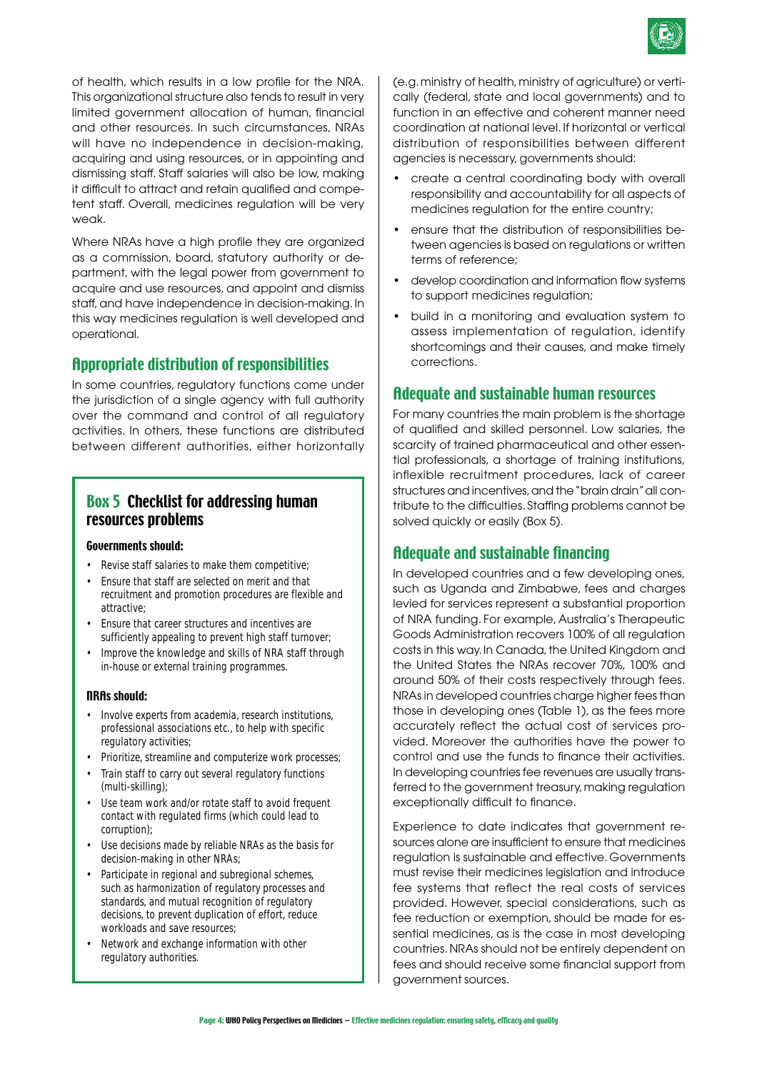

of health, which results in a low profile for the NRA. This organizational structure also tends to result in very limited government allocation of human, financial and other resources. In such circumstances, NRAs will have no independence in decision-making, acquiring and using resources, or in appointing and dismissing staff. Staff salaries will also be low, making it difficult to attract and retain qualified and competent staff. Overall, medicines regulation will be very weak.

Where NRAs have a high profile they are organized as a commission, board, statutory authority or department, with the legal power from government to acquire and use resources, and appoint and dismiss staff, and have independence in decision-making. In this way medicines regulation is well developed and operational.

#### Appropriate distribution of responsibilities

In some countries, regulatory functions come under the jurisdiction of a single agency with full authority over the command and control of all regulatory activities. In others, these functions are distributed between different authorities, either horizontally

#### Box 5 Checklist for addressing human resources problems

#### Governments should:

- Revise staff salaries to make them competitive;
- Ensure that staff are selected on merit and that recruitment and promotion procedures are flexible and attractive;
- Ensure that career structures and incentives are sufficiently appealing to prevent high staff turnover;
- Improve the knowledge and skills of NRA staff through in-house or external training programmes.

#### NRAs should:

- Involve experts from academia, research institutions, professional associations etc., to help with specific regulatory activities;
- Prioritize, streamline and computerize work processes;
- Train staff to carry out several regulatory functions (multi-skilling);
- Use team work and/or rotate staff to avoid frequent contact with regulated firms (which could lead to corruption);
- Use decisions made by reliable NRAs as the basis for decision-making in other NRAs;
- Participate in regional and subregional schemes, such as harmonization of regulatory processes and standards, and mutual recognition of regulatory decisions, to prevent duplication of effort, reduce workloads and save resources;
- Network and exchange information with other regulatory authorities.

(e.g. ministry of health, ministry of agriculture) or vertically (federal, state and local governments) and to function in an effective and coherent manner need coordination at national level. If horizontal or vertical distribution of responsibilities between different agencies is necessary, governments should:

- create a central coordinating body with overall responsibility and accountability for all aspects of medicines regulation for the entire country;
- ensure that the distribution of responsibilities between agencies is based on regulations or written terms of reference;
- develop coordination and information flow systems to support medicines regulation;
- build in a monitoring and evaluation system to assess implementation of regulation, identify shortcomings and their causes, and make timely corrections.

#### Adequate and sustainable human resources

For many countries the main problem is the shortage of qualified and skilled personnel. Low salaries, the scarcity of trained pharmaceutical and other essential professionals, a shortage of training institutions, inflexible recruitment procedures, lack of career structures and incentives, and the "brain drain" all contribute to the difficulties. Staffing problems cannot be solved quickly or easily (Box 5).

#### Adequate and sustainable financing

In developed countries and a few developing ones, such as Uganda and Zimbabwe, fees and charges levied for services represent a substantial proportion of NRA funding. For example, Australia's Therapeutic Goods Administration recovers 100% of all regulation costs in this way. In Canada, the United Kingdom and the United States the NRAs recover 70%, 100% and around 50% of their costs respectively through fees. NRAs in developed countries charge higher fees than those in developing ones (Table 1), as the fees more accurately reflect the actual cost of services provided. Moreover the authorities have the power to control and use the funds to finance their activities. In developing countries fee revenues are usually transferred to the government treasury, making regulation exceptionally difficult to finance.

Experience to date indicates that government resources alone are insufficient to ensure that medicines regulation is sustainable and effective. Governments must revise their medicines legislation and introduce fee systems that reflect the real costs of services provided. However, special considerations, such as fee reduction or exemption, should be made for essential medicines, as is the case in most developing countries. NRAs should not be entirely dependent on fees and should receive some financial support from government sources.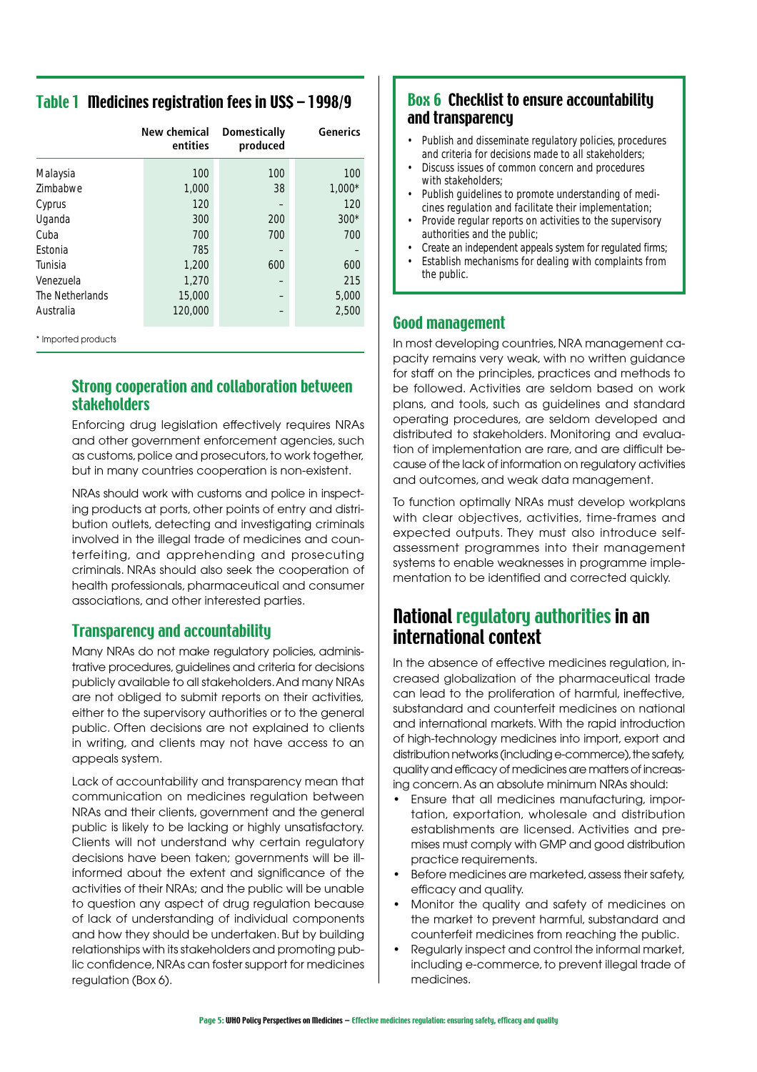## Table 1 Medicines registration fees in US\$ – 1998/9

|                 | New chemical<br>entities | <b>Domestically</b><br>produced | Generics |
|-----------------|--------------------------|---------------------------------|----------|
| Malaysia        | 100                      | 100                             | 100      |
| Zimbabwe        | 1,000                    | 38                              | $1,000*$ |
| Cyprus          | 120                      |                                 | 120      |
| Uganda          | 300                      | 200                             | $300*$   |
| Cuba            | 700                      | 700                             | 700      |
| Estonia         | 785                      |                                 |          |
| Tunisia         | 1,200                    | 600                             | 600      |
| Venezuela       | 1,270                    |                                 | 215      |
| The Netherlands | 15,000                   |                                 | 5,000    |
| Australia       | 120,000                  |                                 | 2,500    |

\* Imported products

## Strong cooperation and collaboration between stakeholders

Enforcing drug legislation effectively requires NRAs and other government enforcement agencies, such as customs, police and prosecutors, to work together, but in many countries cooperation is non-existent.

NRAs should work with customs and police in inspecting products at ports, other points of entry and distribution outlets, detecting and investigating criminals involved in the illegal trade of medicines and counterfeiting, and apprehending and prosecuting criminals. NRAs should also seek the cooperation of health professionals, pharmaceutical and consumer associations, and other interested parties.

### Transparency and accountability

Many NRAs do not make regulatory policies, administrative procedures, guidelines and criteria for decisions publicly available to all stakeholders. And many NRAs are not obliged to submit reports on their activities, either to the supervisory authorities or to the general public. Often decisions are not explained to clients in writing, and clients may not have access to an appeals system.

Lack of accountability and transparency mean that communication on medicines regulation between NRAs and their clients, government and the general public is likely to be lacking or highly unsatisfactory. Clients will not understand why certain regulatory decisions have been taken; governments will be illinformed about the extent and significance of the activities of their NRAs; and the public will be unable to question any aspect of drug regulation because of lack of understanding of individual components and how they should be undertaken. But by building relationships with its stakeholders and promoting public confidence, NRAs can foster support for medicines regulation (Box 6).

## Box 6 Checklist to ensure accountability and transparency

- Publish and disseminate regulatory policies, procedures and criteria for decisions made to all stakeholders;
- Discuss issues of common concern and procedures with stakeholders;
- Publish guidelines to promote understanding of medicines regulation and facilitate their implementation;
- Provide regular reports on activities to the supervisory authorities and the public;
- Create an independent appeals system for regulated firms;
- Establish mechanisms for dealing with complaints from the public.

### Good management

In most developing countries, NRA management capacity remains very weak, with no written guidance for staff on the principles, practices and methods to be followed. Activities are seldom based on work plans, and tools, such as guidelines and standard operating procedures, are seldom developed and distributed to stakeholders. Monitoring and evaluation of implementation are rare, and are difficult because of the lack of information on regulatory activities and outcomes, and weak data management.

To function optimally NRAs must develop workplans with clear objectives, activities, time-frames and expected outputs. They must also introduce selfassessment programmes into their management systems to enable weaknesses in programme implementation to be identified and corrected quickly.

# National regulatory authorities in an international context

In the absence of effective medicines regulation, increased globalization of the pharmaceutical trade can lead to the proliferation of harmful, ineffective, substandard and counterfeit medicines on national and international markets. With the rapid introduction of high-technology medicines into import, export and distribution networks (including e-commerce), the safety, quality and efficacy of medicines are matters of increasing concern. As an absolute minimum NRAs should:

- Ensure that all medicines manufacturing, importation, exportation, wholesale and distribution establishments are licensed. Activities and premises must comply with GMP and good distribution practice requirements.
- Before medicines are marketed, assess their safety, efficacy and quality.
- Monitor the quality and safety of medicines on the market to prevent harmful, substandard and counterfeit medicines from reaching the public.
- Regularly inspect and control the informal market, including e-commerce, to prevent illegal trade of medicines.